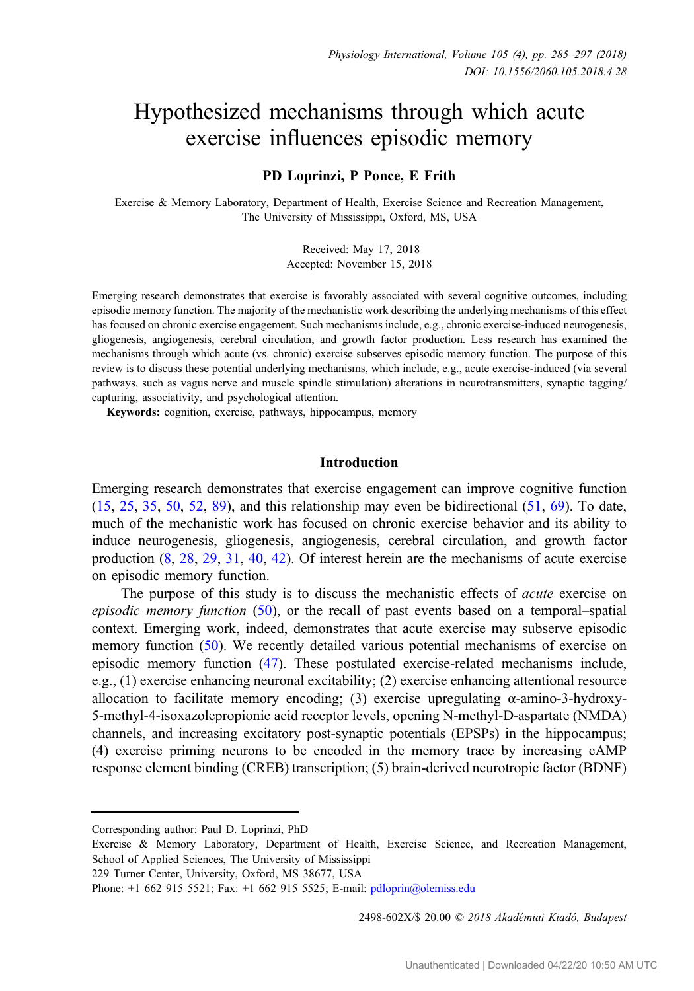# Hypothesized mechanisms through which acute exercise influences episodic memory

## PD Loprinzi, P Ponce, E Frith

Exercise & Memory Laboratory, Department of Health, Exercise Science and Recreation Management, The University of Mississippi, Oxford, MS, USA

> Received: May 17, 2018 Accepted: November 15, 2018

Emerging research demonstrates that exercise is favorably associated with several cognitive outcomes, including episodic memory function. The majority of the mechanistic work describing the underlying mechanisms of this effect has focused on chronic exercise engagement. Such mechanisms include, e.g., chronic exercise-induced neurogenesis, gliogenesis, angiogenesis, cerebral circulation, and growth factor production. Less research has examined the mechanisms through which acute (vs. chronic) exercise subserves episodic memory function. The purpose of this review is to discuss these potential underlying mechanisms, which include, e.g., acute exercise-induced (via several pathways, such as vagus nerve and muscle spindle stimulation) alterations in neurotransmitters, synaptic tagging/ capturing, associativity, and psychological attention.

Keywords: cognition, exercise, pathways, hippocampus, memory

## Introduction

Emerging research demonstrates that exercise engagement can improve cognitive function  $(15, 25, 35, 50, 52, 89)$  $(15, 25, 35, 50, 52, 89)$  $(15, 25, 35, 50, 52, 89)$  $(15, 25, 35, 50, 52, 89)$  $(15, 25, 35, 50, 52, 89)$  $(15, 25, 35, 50, 52, 89)$  $(15, 25, 35, 50, 52, 89)$  $(15, 25, 35, 50, 52, 89)$  $(15, 25, 35, 50, 52, 89)$  $(15, 25, 35, 50, 52, 89)$  $(15, 25, 35, 50, 52, 89)$ , and this relationship may even be bidirectional  $(51, 69)$  $(51, 69)$  $(51, 69)$  $(51, 69)$ . To date, much of the mechanistic work has focused on chronic exercise behavior and its ability to induce neurogenesis, gliogenesis, angiogenesis, cerebral circulation, and growth factor production ([8,](#page-9-0) [28](#page-10-0), [29](#page-10-0), [31,](#page-10-0) [40,](#page-10-0) [42](#page-10-0)). Of interest herein are the mechanisms of acute exercise on episodic memory function.

The purpose of this study is to discuss the mechanistic effects of *acute* exercise on episodic memory function  $(50)$  $(50)$ , or the recall of past events based on a temporal–spatial context. Emerging work, indeed, demonstrates that acute exercise may subserve episodic memory function ([50\)](#page-11-0). We recently detailed various potential mechanisms of exercise on episodic memory function ([47\)](#page-11-0). These postulated exercise-related mechanisms include, e.g., (1) exercise enhancing neuronal excitability; (2) exercise enhancing attentional resource allocation to facilitate memory encoding; (3) exercise upregulating  $\alpha$ -amino-3-hydroxy-5-methyl-4-isoxazolepropionic acid receptor levels, opening N-methyl-D-aspartate (NMDA) channels, and increasing excitatory post-synaptic potentials (EPSPs) in the hippocampus; (4) exercise priming neurons to be encoded in the memory trace by increasing cAMP response element binding (CREB) transcription; (5) brain-derived neurotropic factor (BDNF)

Exercise & Memory Laboratory, Department of Health, Exercise Science, and Recreation Management, School of Applied Sciences, The University of Mississippi

229 Turner Center, University, Oxford, MS 38677, USA

2498-602X/\$ 20.00 © 2018 Akadémiai Kiadó, Budapest

Corresponding author: Paul D. Loprinzi, PhD

Phone: +1 662 915 5521; Fax: +1 662 915 5525; E-mail: [pdloprin@olemiss.edu](mailto:pdloprin@olemiss.edu)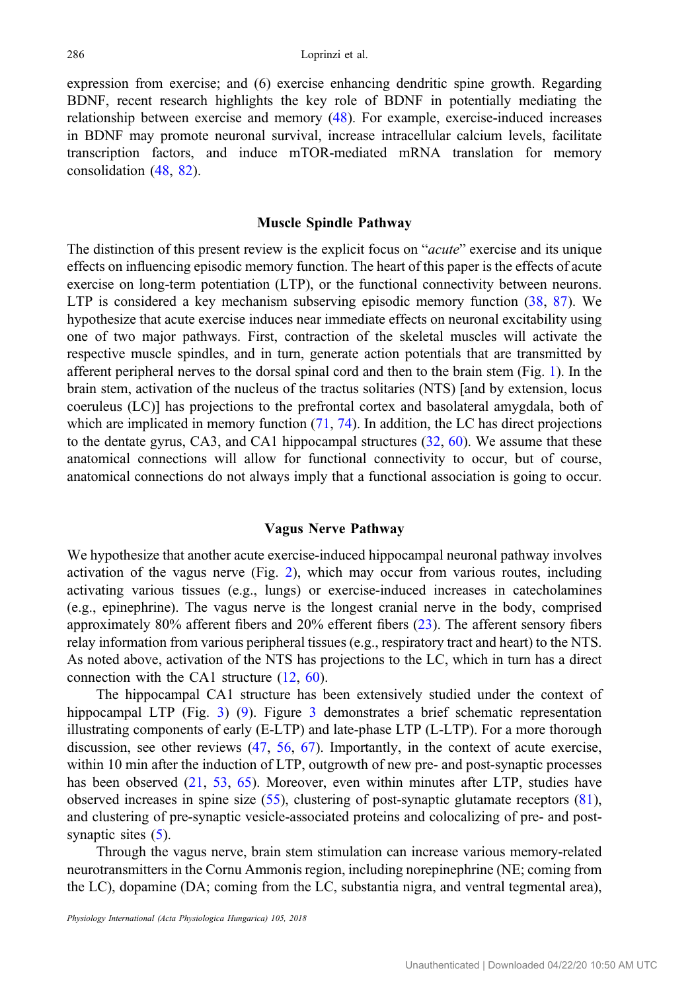expression from exercise; and (6) exercise enhancing dendritic spine growth. Regarding BDNF, recent research highlights the key role of BDNF in potentially mediating the relationship between exercise and memory [\(48](#page-11-0)). For example, exercise-induced increases in BDNF may promote neuronal survival, increase intracellular calcium levels, facilitate transcription factors, and induce mTOR-mediated mRNA translation for memory consolidation [\(48](#page-11-0), [82](#page-12-0)).

#### Muscle Spindle Pathway

The distinction of this present review is the explicit focus on "*acute*" exercise and its unique effects on influencing episodic memory function. The heart of this paper is the effects of acute exercise on long-term potentiation (LTP), or the functional connectivity between neurons. LTP is considered a key mechanism subserving episodic memory function ([38,](#page-10-0) [87](#page-12-0)). We hypothesize that acute exercise induces near immediate effects on neuronal excitability using one of two major pathways. First, contraction of the skeletal muscles will activate the respective muscle spindles, and in turn, generate action potentials that are transmitted by afferent peripheral nerves to the dorsal spinal cord and then to the brain stem (Fig. [1\)](#page-2-0). In the brain stem, activation of the nucleus of the tractus solitaries (NTS) [and by extension, locus coeruleus (LC)] has projections to the prefrontal cortex and basolateral amygdala, both of which are implicated in memory function  $(71, 74)$  $(71, 74)$  $(71, 74)$ . In addition, the LC has direct projections to the dentate gyrus, CA3, and CA1 hippocampal structures  $(32, 60)$  $(32, 60)$  $(32, 60)$ . We assume that these anatomical connections will allow for functional connectivity to occur, but of course, anatomical connections do not always imply that a functional association is going to occur.

## Vagus Nerve Pathway

We hypothesize that another acute exercise-induced hippocampal neuronal pathway involves activation of the vagus nerve (Fig. [2\)](#page-3-0), which may occur from various routes, including activating various tissues (e.g., lungs) or exercise-induced increases in catecholamines (e.g., epinephrine). The vagus nerve is the longest cranial nerve in the body, comprised approximately 80% afferent fibers and 20% efferent fibers ([23\)](#page-10-0). The afferent sensory fibers relay information from various peripheral tissues (e.g., respiratory tract and heart) to the NTS. As noted above, activation of the NTS has projections to the LC, which in turn has a direct connection with the CA1 structure [\(12](#page-9-0), [60](#page-11-0)).

The hippocampal CA1 structure has been extensively studied under the context of hippocampal LTP (Fig. [3\)](#page-4-0) [\(9](#page-9-0)). Figure [3](#page-4-0) demonstrates a brief schematic representation illustrating components of early (E-LTP) and late-phase LTP (L-LTP). For a more thorough discussion, see other reviews [\(47](#page-11-0), [56,](#page-11-0) [67](#page-11-0)). Importantly, in the context of acute exercise, within 10 min after the induction of LTP, outgrowth of new pre- and post-synaptic processes has been observed  $(21, 53, 65)$  $(21, 53, 65)$  $(21, 53, 65)$  $(21, 53, 65)$  $(21, 53, 65)$ . Moreover, even within minutes after LTP, studies have observed increases in spine size [\(55](#page-11-0)), clustering of post-synaptic glutamate receptors [\(81](#page-12-0)), and clustering of pre-synaptic vesicle-associated proteins and colocalizing of pre- and postsynaptic sites  $(5)$  $(5)$ .

Through the vagus nerve, brain stem stimulation can increase various memory-related neurotransmitters in the Cornu Ammonis region, including norepinephrine (NE; coming from the LC), dopamine (DA; coming from the LC, substantia nigra, and ventral tegmental area),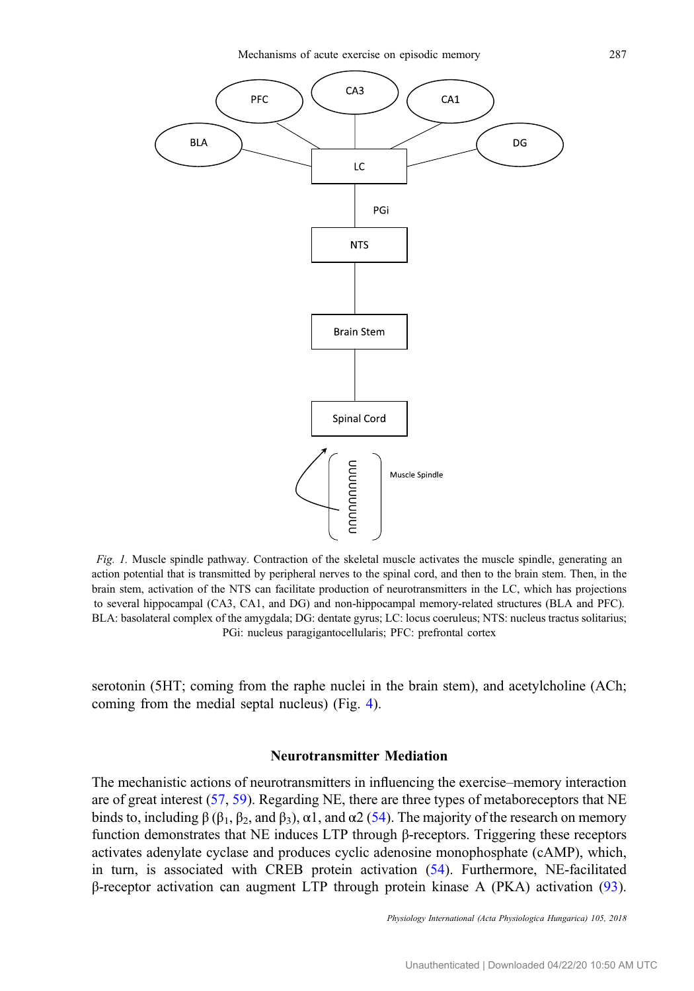<span id="page-2-0"></span>

Fig. 1. Muscle spindle pathway. Contraction of the skeletal muscle activates the muscle spindle, generating an action potential that is transmitted by peripheral nerves to the spinal cord, and then to the brain stem. Then, in the brain stem, activation of the NTS can facilitate production of neurotransmitters in the LC, which has projections to several hippocampal (CA3, CA1, and DG) and non-hippocampal memory-related structures (BLA and PFC). BLA: basolateral complex of the amygdala; DG: dentate gyrus; LC: locus coeruleus; NTS: nucleus tractus solitarius; PGi: nucleus paragigantocellularis; PFC: prefrontal cortex

serotonin (5HT; coming from the raphe nuclei in the brain stem), and acetylcholine (ACh; coming from the medial septal nucleus) (Fig. [4](#page-5-0)).

# Neurotransmitter Mediation

The mechanistic actions of neurotransmitters in influencing the exercise–memory interaction are of great interest ([57,](#page-11-0) [59\)](#page-11-0). Regarding NE, there are three types of metaboreceptors that NE binds to, including β ( $β_1$ ,  $β_2$ , and  $β_3$ ), α1, and α2 ([54\)](#page-11-0). The majority of the research on memory function demonstrates that NE induces LTP through β-receptors. Triggering these receptors activates adenylate cyclase and produces cyclic adenosine monophosphate (cAMP), which, in turn, is associated with CREB protein activation [\(54](#page-11-0)). Furthermore, NE-facilitated β-receptor activation can augment LTP through protein kinase A (PKA) activation [\(93](#page-12-0)).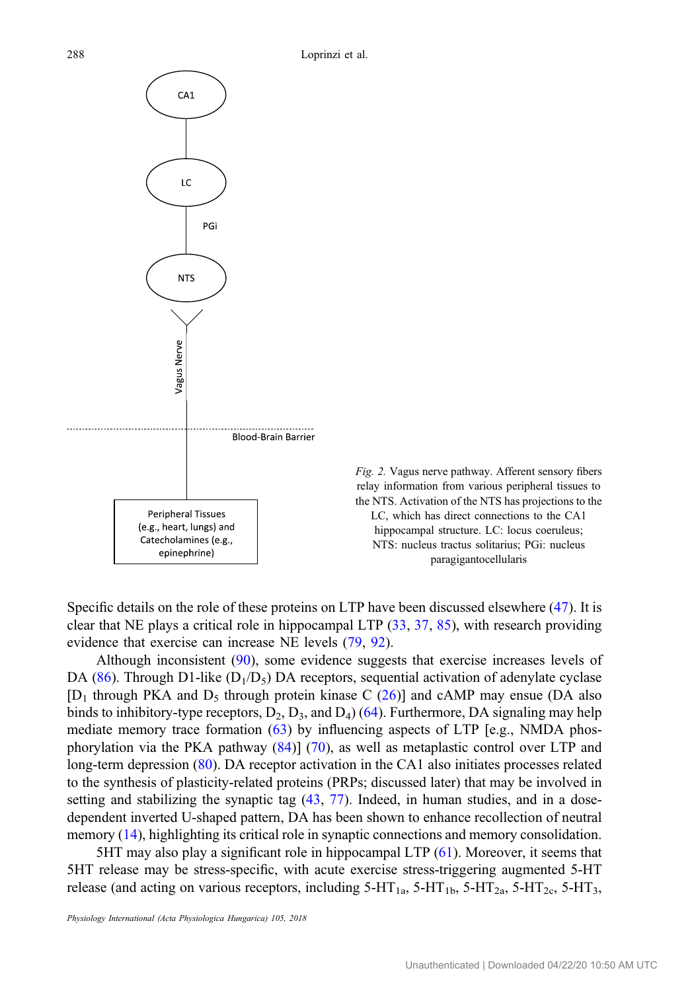<span id="page-3-0"></span>



Specific details on the role of these proteins on LTP have been discussed elsewhere [\(47](#page-11-0)). It is clear that NE plays a critical role in hippocampal LTP [\(33](#page-10-0), [37](#page-10-0), [85\)](#page-12-0), with research providing evidence that exercise can increase NE levels [\(79](#page-12-0), [92](#page-12-0)).

Although inconsistent ([90\)](#page-12-0), some evidence suggests that exercise increases levels of DA [\(86](#page-12-0)). Through D1-like ( $D_1/D_5$ ) DA receptors, sequential activation of adenylate cyclase  $[D_1$  through PKA and  $D_5$  through protein kinase C ([26](#page-10-0))] and cAMP may ensue (DA also binds to inhibitory-type receptors,  $D_2$ ,  $D_3$ , and  $D_4$ ) ([64](#page-11-0)). Furthermore, DA signaling may help mediate memory trace formation [\(63](#page-11-0)) by influencing aspects of LTP [e.g., NMDA phosphorylation via the PKA pathway [\(84](#page-12-0))] [\(70](#page-11-0)), as well as metaplastic control over LTP and long-term depression ([80\)](#page-12-0). DA receptor activation in the CA1 also initiates processes related to the synthesis of plasticity-related proteins (PRPs; discussed later) that may be involved in setting and stabilizing the synaptic tag  $(43, 77)$  $(43, 77)$  $(43, 77)$  $(43, 77)$ . Indeed, in human studies, and in a dosedependent inverted U-shaped pattern, DA has been shown to enhance recollection of neutral memory [\(14](#page-9-0)), highlighting its critical role in synaptic connections and memory consolidation.

5HT may also play a significant role in hippocampal LTP ([61\)](#page-11-0). Moreover, it seems that 5HT release may be stress-specific, with acute exercise stress-triggering augmented 5-HT release (and acting on various receptors, including  $5-HT_{1a}$ ,  $5-HT_{1b}$ ,  $5-HT_{2a}$ ,  $5-HT_{2c}$ ,  $5-HT_{3}$ ,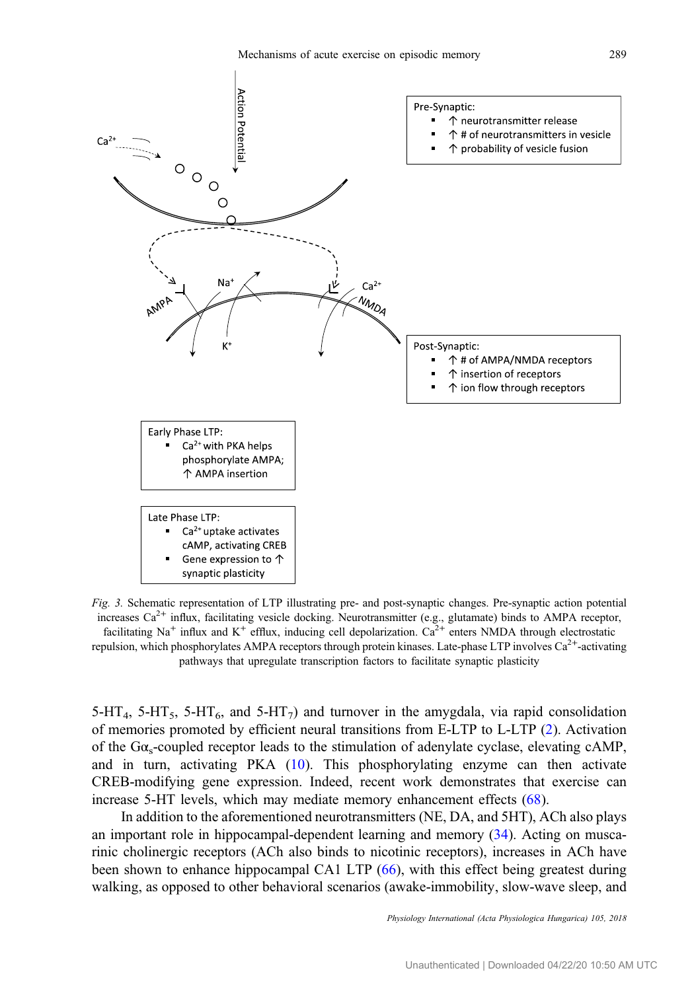<span id="page-4-0"></span>

Fig. 3. Schematic representation of LTP illustrating pre- and post-synaptic changes. Pre-synaptic action potential increases  $Ca^{2+}$  influx, facilitating vesicle docking. Neurotransmitter (e.g., glutamate) binds to AMPA receptor, facilitating Na<sup>+</sup> influx and K<sup>+</sup> efflux, inducing cell depolarization.  $Ca^{2+}$  enters NMDA through electrostatic repulsion, which phosphorylates AMPA receptors through protein kinases. Late-phase LTP involves Ca<sup>2+</sup>-activating pathways that upregulate transcription factors to facilitate synaptic plasticity

5-HT<sub>4</sub>, 5-HT<sub>5</sub>, 5-HT<sub>6</sub>, and 5-HT<sub>7</sub>) and turnover in the amygdala, via rapid consolidation of memories promoted by efficient neural transitions from E-LTP to L-LTP [\(2](#page-9-0)). Activation of the Gαs-coupled receptor leads to the stimulation of adenylate cyclase, elevating cAMP, and in turn, activating PKA [\(10](#page-9-0)). This phosphorylating enzyme can then activate CREB-modifying gene expression. Indeed, recent work demonstrates that exercise can increase 5-HT levels, which may mediate memory enhancement effects [\(68](#page-11-0)).

In addition to the aforementioned neurotransmitters (NE, DA, and 5HT), ACh also plays an important role in hippocampal-dependent learning and memory ([34\)](#page-10-0). Acting on muscarinic cholinergic receptors (ACh also binds to nicotinic receptors), increases in ACh have been shown to enhance hippocampal CA1 LTP ([66\)](#page-11-0), with this effect being greatest during walking, as opposed to other behavioral scenarios (awake-immobility, slow-wave sleep, and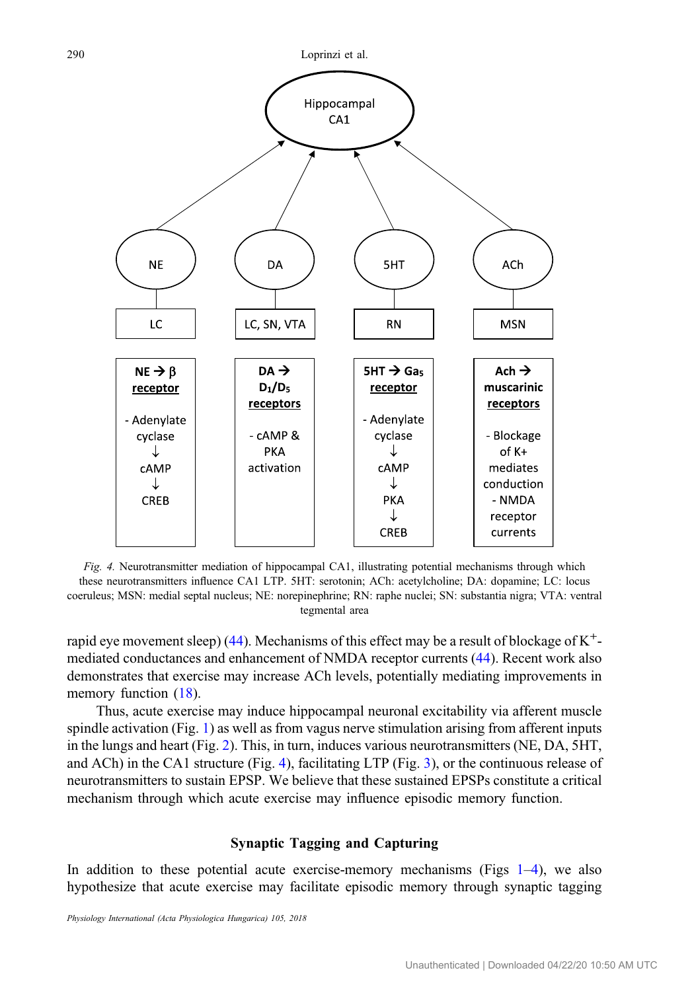<span id="page-5-0"></span>

Fig. 4. Neurotransmitter mediation of hippocampal CA1, illustrating potential mechanisms through which these neurotransmitters influence CA1 LTP. 5HT: serotonin; ACh: acetylcholine; DA: dopamine; LC: locus coeruleus; MSN: medial septal nucleus; NE: norepinephrine; RN: raphe nuclei; SN: substantia nigra; VTA: ventral tegmental area

rapid eye movement sleep)  $(44)$  $(44)$ . Mechanisms of this effect may be a result of blockage of K<sup>+</sup>mediated conductances and enhancement of NMDA receptor currents ([44\)](#page-10-0). Recent work also demonstrates that exercise may increase ACh levels, potentially mediating improvements in memory function  $(18)$  $(18)$ .

Thus, acute exercise may induce hippocampal neuronal excitability via afferent muscle spindle activation (Fig. [1\)](#page-2-0) as well as from vagus nerve stimulation arising from afferent inputs in the lungs and heart (Fig. [2\)](#page-3-0). This, in turn, induces various neurotransmitters (NE, DA, 5HT, and ACh) in the CA1 structure (Fig. 4), facilitating LTP (Fig. [3\)](#page-4-0), or the continuous release of neurotransmitters to sustain EPSP. We believe that these sustained EPSPs constitute a critical mechanism through which acute exercise may influence episodic memory function.

## Synaptic Tagging and Capturing

In addition to these potential acute exercise-memory mechanisms (Figs  $1-4$  $1-4$ ), we also hypothesize that acute exercise may facilitate episodic memory through synaptic tagging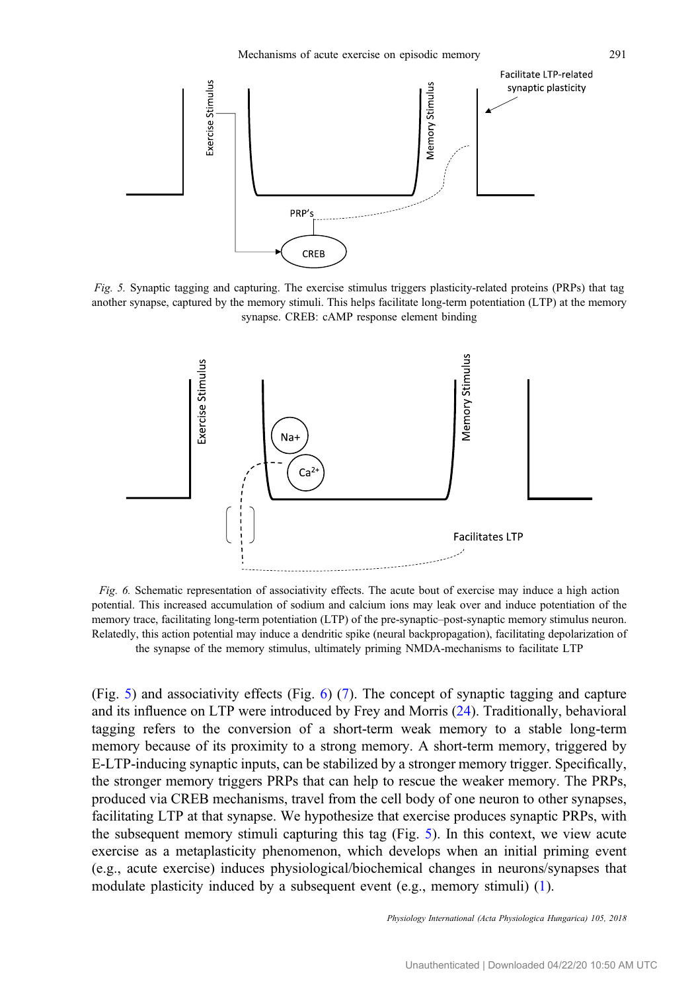<span id="page-6-0"></span>

Fig. 5. Synaptic tagging and capturing. The exercise stimulus triggers plasticity-related proteins (PRPs) that tag another synapse, captured by the memory stimuli. This helps facilitate long-term potentiation (LTP) at the memory synapse. CREB: cAMP response element binding



Fig. 6. Schematic representation of associativity effects. The acute bout of exercise may induce a high action potential. This increased accumulation of sodium and calcium ions may leak over and induce potentiation of the memory trace, facilitating long-term potentiation (LTP) of the pre-synaptic–post-synaptic memory stimulus neuron. Relatedly, this action potential may induce a dendritic spike (neural backpropagation), facilitating depolarization of the synapse of the memory stimulus, ultimately priming NMDA-mechanisms to facilitate LTP

(Fig. 5) and associativity effects (Fig. 6) [\(7\)](#page-8-0). The concept of synaptic tagging and capture and its influence on LTP were introduced by Frey and Morris [\(24](#page-10-0)). Traditionally, behavioral tagging refers to the conversion of a short-term weak memory to a stable long-term memory because of its proximity to a strong memory. A short-term memory, triggered by E-LTP-inducing synaptic inputs, can be stabilized by a stronger memory trigger. Specifically, the stronger memory triggers PRPs that can help to rescue the weaker memory. The PRPs, produced via CREB mechanisms, travel from the cell body of one neuron to other synapses, facilitating LTP at that synapse. We hypothesize that exercise produces synaptic PRPs, with the subsequent memory stimuli capturing this tag (Fig. 5). In this context, we view acute exercise as a metaplasticity phenomenon, which develops when an initial priming event (e.g., acute exercise) induces physiological/biochemical changes in neurons/synapses that modulate plasticity induced by a subsequent event (e.g., memory stimuli) ([1\)](#page-9-0).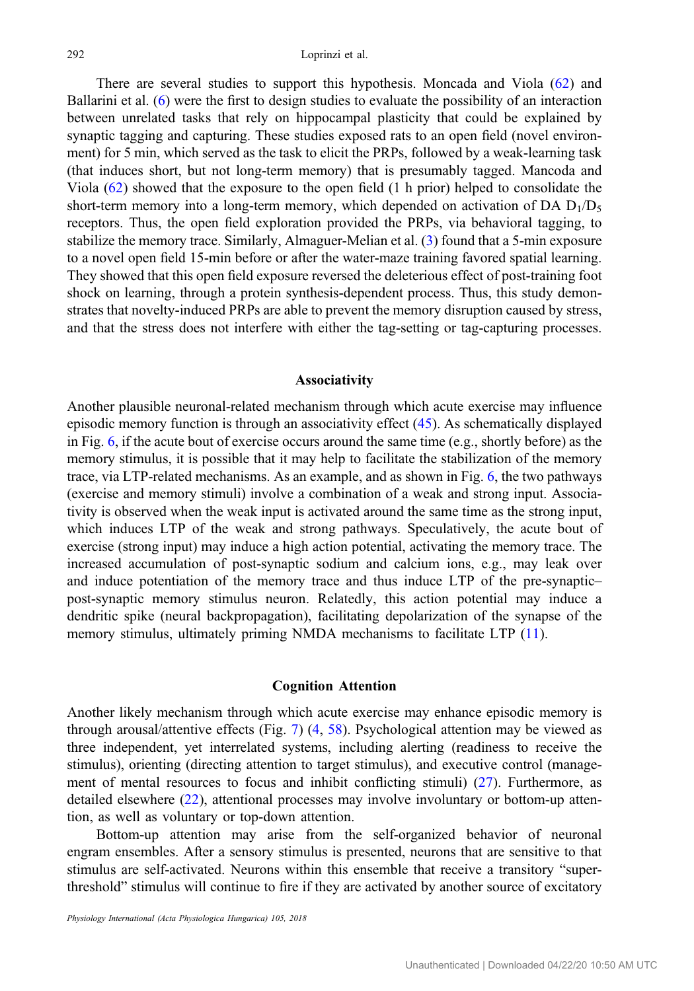There are several studies to support this hypothesis. Moncada and Viola ([62\)](#page-11-0) and Ballarini et al. [\(6](#page-9-0)) were the first to design studies to evaluate the possibility of an interaction between unrelated tasks that rely on hippocampal plasticity that could be explained by synaptic tagging and capturing. These studies exposed rats to an open field (novel environment) for 5 min, which served as the task to elicit the PRPs, followed by a weak-learning task (that induces short, but not long-term memory) that is presumably tagged. Mancoda and Viola [\(62](#page-11-0)) showed that the exposure to the open field (1 h prior) helped to consolidate the short-term memory into a long-term memory, which depended on activation of DA  $D_1/D_5$ receptors. Thus, the open field exploration provided the PRPs, via behavioral tagging, to stabilize the memory trace. Similarly, Almaguer-Melian et al. [\(3](#page-9-0)) found that a 5-min exposure to a novel open field 15-min before or after the water-maze training favored spatial learning. They showed that this open field exposure reversed the deleterious effect of post-training foot shock on learning, through a protein synthesis-dependent process. Thus, this study demonstrates that novelty-induced PRPs are able to prevent the memory disruption caused by stress, and that the stress does not interfere with either the tag-setting or tag-capturing processes.

## Associativity

Another plausible neuronal-related mechanism through which acute exercise may influence episodic memory function is through an associativity effect ([45\)](#page-10-0). As schematically displayed in Fig.  $6$ , if the acute bout of exercise occurs around the same time (e.g., shortly before) as the memory stimulus, it is possible that it may help to facilitate the stabilization of the memory trace, via LTP-related mechanisms. As an example, and as shown in Fig. [6](#page-6-0), the two pathways (exercise and memory stimuli) involve a combination of a weak and strong input. Associativity is observed when the weak input is activated around the same time as the strong input, which induces LTP of the weak and strong pathways. Speculatively, the acute bout of exercise (strong input) may induce a high action potential, activating the memory trace. The increased accumulation of post-synaptic sodium and calcium ions, e.g., may leak over and induce potentiation of the memory trace and thus induce LTP of the pre-synaptic– post-synaptic memory stimulus neuron. Relatedly, this action potential may induce a dendritic spike (neural backpropagation), facilitating depolarization of the synapse of the memory stimulus, ultimately priming NMDA mechanisms to facilitate LTP [\(11](#page-9-0)).

#### Cognition Attention

Another likely mechanism through which acute exercise may enhance episodic memory is through arousal/attentive effects (Fig. [7\)](#page-8-0)  $(4, 58)$  $(4, 58)$  $(4, 58)$ . Psychological attention may be viewed as three independent, yet interrelated systems, including alerting (readiness to receive the stimulus), orienting (directing attention to target stimulus), and executive control (management of mental resources to focus and inhibit conflicting stimuli) [\(27](#page-10-0)). Furthermore, as detailed elsewhere ([22\)](#page-10-0), attentional processes may involve involuntary or bottom-up attention, as well as voluntary or top-down attention.

Bottom-up attention may arise from the self-organized behavior of neuronal engram ensembles. After a sensory stimulus is presented, neurons that are sensitive to that stimulus are self-activated. Neurons within this ensemble that receive a transitory "superthreshold" stimulus will continue to fire if they are activated by another source of excitatory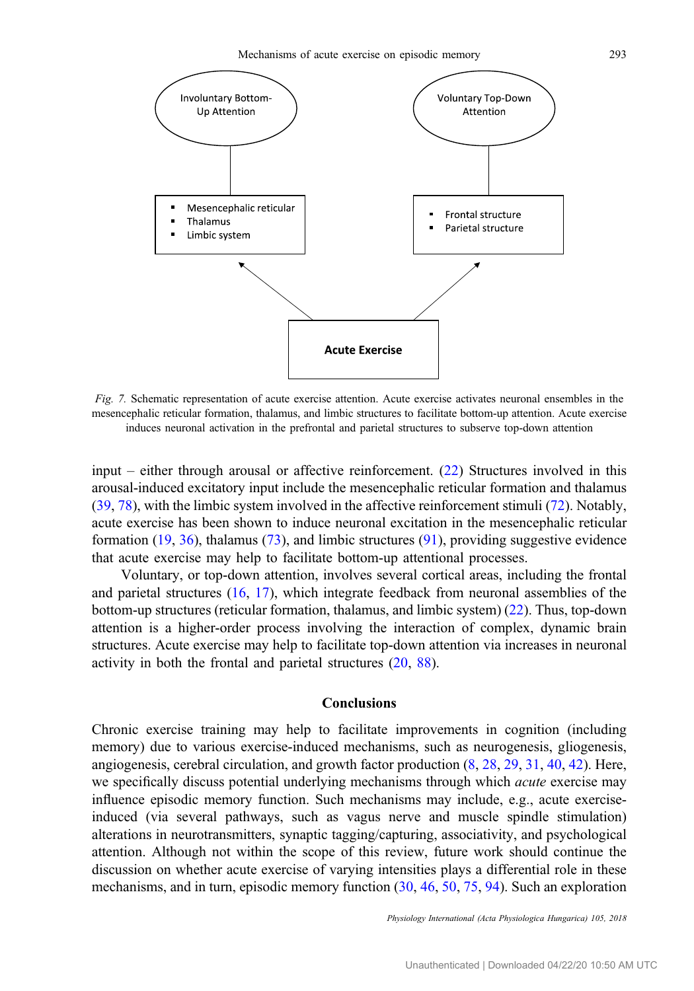Mechanisms of acute exercise on episodic memory 293

<span id="page-8-0"></span>

Fig. 7. Schematic representation of acute exercise attention. Acute exercise activates neuronal ensembles in the mesencephalic reticular formation, thalamus, and limbic structures to facilitate bottom-up attention. Acute exercise induces neuronal activation in the prefrontal and parietal structures to subserve top-down attention

input – either through arousal or affective reinforcement. ([22\)](#page-10-0) Structures involved in this arousal-induced excitatory input include the mesencephalic reticular formation and thalamus [\(39](#page-10-0), [78\)](#page-12-0), with the limbic system involved in the affective reinforcement stimuli ([72\)](#page-12-0). Notably, acute exercise has been shown to induce neuronal excitation in the mesencephalic reticular formation  $(19, 36)$  $(19, 36)$  $(19, 36)$  $(19, 36)$  $(19, 36)$ , thalamus  $(73)$  $(73)$  $(73)$ , and limbic structures  $(91)$ , providing suggestive evidence that acute exercise may help to facilitate bottom-up attentional processes.

Voluntary, or top-down attention, involves several cortical areas, including the frontal and parietal structures ([16,](#page-9-0) [17\)](#page-9-0), which integrate feedback from neuronal assemblies of the bottom-up structures (reticular formation, thalamus, and limbic system) [\(22](#page-10-0)). Thus, top-down attention is a higher-order process involving the interaction of complex, dynamic brain structures. Acute exercise may help to facilitate top-down attention via increases in neuronal activity in both the frontal and parietal structures ([20,](#page-10-0) [88\)](#page-12-0).

## Conclusions

Chronic exercise training may help to facilitate improvements in cognition (including memory) due to various exercise-induced mechanisms, such as neurogenesis, gliogenesis, angiogenesis, cerebral circulation, and growth factor production [\(8](#page-9-0), [28](#page-10-0), [29,](#page-10-0) [31,](#page-10-0) [40](#page-10-0), [42](#page-10-0)). Here, we specifically discuss potential underlying mechanisms through which *acute* exercise may influence episodic memory function. Such mechanisms may include, e.g., acute exerciseinduced (via several pathways, such as vagus nerve and muscle spindle stimulation) alterations in neurotransmitters, synaptic tagging/capturing, associativity, and psychological attention. Although not within the scope of this review, future work should continue the discussion on whether acute exercise of varying intensities plays a differential role in these mechanisms, and in turn, episodic memory function ([30,](#page-10-0) [46](#page-10-0), [50](#page-11-0), [75](#page-12-0), [94\)](#page-12-0). Such an exploration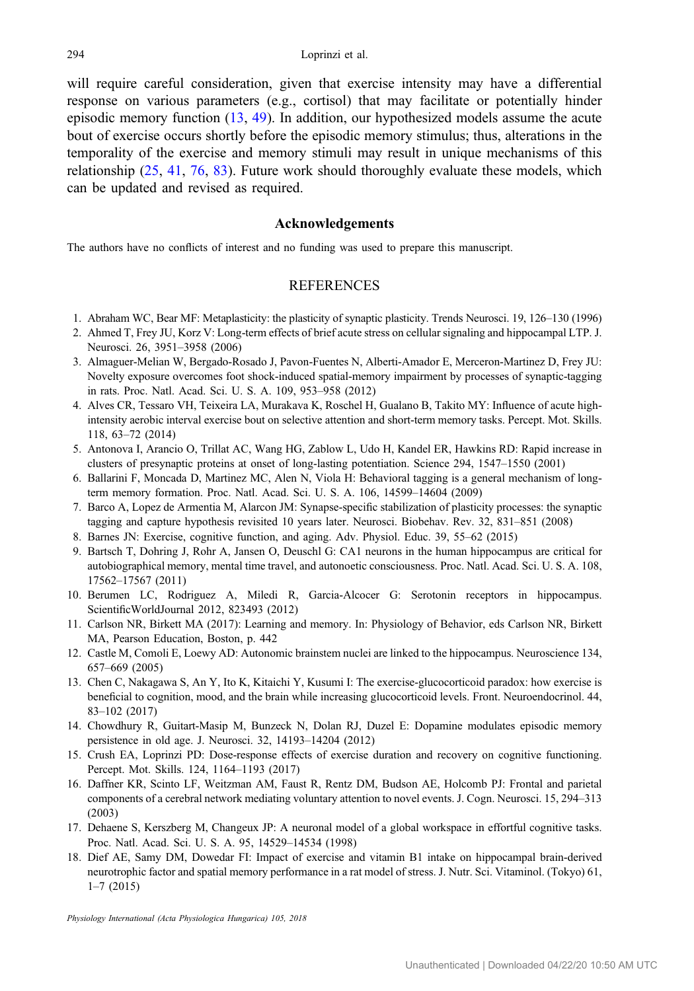<span id="page-9-0"></span>will require careful consideration, given that exercise intensity may have a differential response on various parameters (e.g., cortisol) that may facilitate or potentially hinder episodic memory function  $(13, 49)$  $(13, 49)$  $(13, 49)$ . In addition, our hypothesized models assume the acute bout of exercise occurs shortly before the episodic memory stimulus; thus, alterations in the temporality of the exercise and memory stimuli may result in unique mechanisms of this relationship [\(25](#page-10-0), [41,](#page-10-0) [76,](#page-12-0) [83](#page-12-0)). Future work should thoroughly evaluate these models, which can be updated and revised as required.

## Acknowledgements

The authors have no conflicts of interest and no funding was used to prepare this manuscript.

## REFERENCES

- 1. Abraham WC, Bear MF: Metaplasticity: the plasticity of synaptic plasticity. Trends Neurosci. 19, 126–130 (1996)
- 2. Ahmed T, Frey JU, Korz V: Long-term effects of brief acute stress on cellular signaling and hippocampal LTP. J. Neurosci. 26, 3951–3958 (2006)
- 3. Almaguer-Melian W, Bergado-Rosado J, Pavon-Fuentes N, Alberti-Amador E, Merceron-Martinez D, Frey JU: Novelty exposure overcomes foot shock-induced spatial-memory impairment by processes of synaptic-tagging in rats. Proc. Natl. Acad. Sci. U. S. A. 109, 953–958 (2012)
- 4. Alves CR, Tessaro VH, Teixeira LA, Murakava K, Roschel H, Gualano B, Takito MY: Influence of acute highintensity aerobic interval exercise bout on selective attention and short-term memory tasks. Percept. Mot. Skills. 118, 63–72 (2014)
- 5. Antonova I, Arancio O, Trillat AC, Wang HG, Zablow L, Udo H, Kandel ER, Hawkins RD: Rapid increase in clusters of presynaptic proteins at onset of long-lasting potentiation. Science 294, 1547–1550 (2001)
- 6. Ballarini F, Moncada D, Martinez MC, Alen N, Viola H: Behavioral tagging is a general mechanism of longterm memory formation. Proc. Natl. Acad. Sci. U. S. A. 106, 14599–14604 (2009)
- 7. Barco A, Lopez de Armentia M, Alarcon JM: Synapse-specific stabilization of plasticity processes: the synaptic tagging and capture hypothesis revisited 10 years later. Neurosci. Biobehav. Rev. 32, 831–851 (2008)
- 8. Barnes JN: Exercise, cognitive function, and aging. Adv. Physiol. Educ. 39, 55–62 (2015)
- 9. Bartsch T, Dohring J, Rohr A, Jansen O, Deuschl G: CA1 neurons in the human hippocampus are critical for autobiographical memory, mental time travel, and autonoetic consciousness. Proc. Natl. Acad. Sci. U. S. A. 108, 17562–17567 (2011)
- 10. Berumen LC, Rodriguez A, Miledi R, Garcia-Alcocer G: Serotonin receptors in hippocampus. ScientificWorldJournal 2012, 823493 (2012)
- 11. Carlson NR, Birkett MA (2017): Learning and memory. In: Physiology of Behavior, eds Carlson NR, Birkett MA, Pearson Education, Boston, p. 442
- 12. Castle M, Comoli E, Loewy AD: Autonomic brainstem nuclei are linked to the hippocampus. Neuroscience 134, 657–669 (2005)
- 13. Chen C, Nakagawa S, An Y, Ito K, Kitaichi Y, Kusumi I: The exercise-glucocorticoid paradox: how exercise is beneficial to cognition, mood, and the brain while increasing glucocorticoid levels. Front. Neuroendocrinol. 44, 83–102 (2017)
- 14. Chowdhury R, Guitart-Masip M, Bunzeck N, Dolan RJ, Duzel E: Dopamine modulates episodic memory persistence in old age. J. Neurosci. 32, 14193–14204 (2012)
- 15. Crush EA, Loprinzi PD: Dose-response effects of exercise duration and recovery on cognitive functioning. Percept. Mot. Skills. 124, 1164–1193 (2017)
- 16. Daffner KR, Scinto LF, Weitzman AM, Faust R, Rentz DM, Budson AE, Holcomb PJ: Frontal and parietal components of a cerebral network mediating voluntary attention to novel events. J. Cogn. Neurosci. 15, 294–313 (2003)
- 17. Dehaene S, Kerszberg M, Changeux JP: A neuronal model of a global workspace in effortful cognitive tasks. Proc. Natl. Acad. Sci. U. S. A. 95, 14529–14534 (1998)
- 18. Dief AE, Samy DM, Dowedar FI: Impact of exercise and vitamin B1 intake on hippocampal brain-derived neurotrophic factor and spatial memory performance in a rat model of stress. J. Nutr. Sci. Vitaminol. (Tokyo) 61, 1–7 (2015)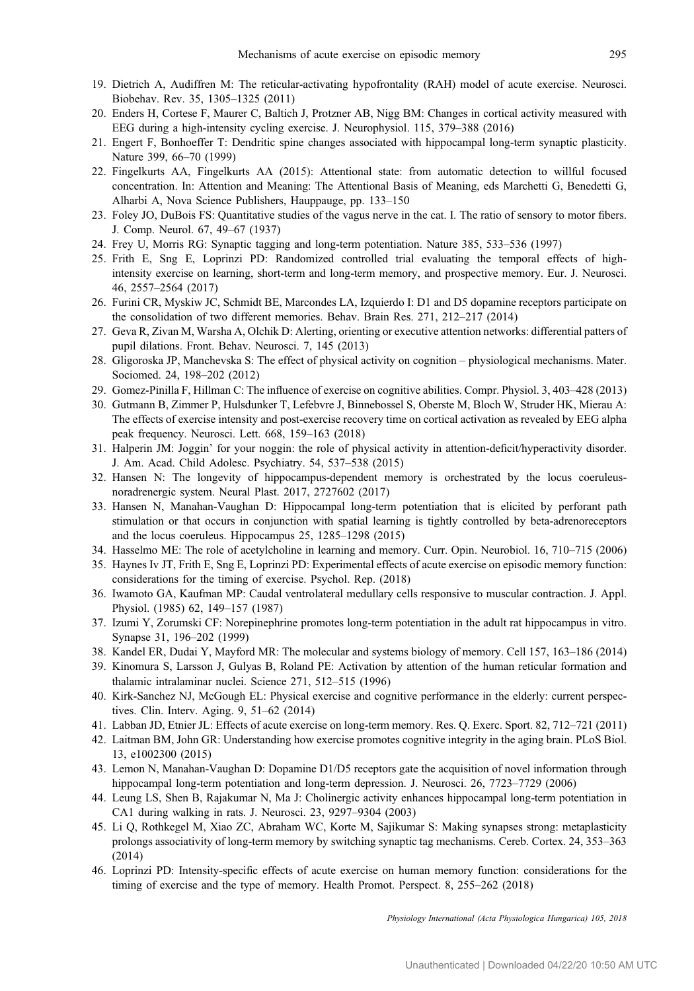- <span id="page-10-0"></span>19. Dietrich A, Audiffren M: The reticular-activating hypofrontality (RAH) model of acute exercise. Neurosci. Biobehav. Rev. 35, 1305–1325 (2011)
- 20. Enders H, Cortese F, Maurer C, Baltich J, Protzner AB, Nigg BM: Changes in cortical activity measured with EEG during a high-intensity cycling exercise. J. Neurophysiol. 115, 379–388 (2016)
- 21. Engert F, Bonhoeffer T: Dendritic spine changes associated with hippocampal long-term synaptic plasticity. Nature 399, 66–70 (1999)
- 22. Fingelkurts AA, Fingelkurts AA (2015): Attentional state: from automatic detection to willful focused concentration. In: Attention and Meaning: The Attentional Basis of Meaning, eds Marchetti G, Benedetti G, Alharbi A, Nova Science Publishers, Hauppauge, pp. 133–150
- 23. Foley JO, DuBois FS: Quantitative studies of the vagus nerve in the cat. I. The ratio of sensory to motor fibers. J. Comp. Neurol. 67, 49–67 (1937)
- 24. Frey U, Morris RG: Synaptic tagging and long-term potentiation. Nature 385, 533–536 (1997)
- 25. Frith E, Sng E, Loprinzi PD: Randomized controlled trial evaluating the temporal effects of highintensity exercise on learning, short-term and long-term memory, and prospective memory. Eur. J. Neurosci. 46, 2557–2564 (2017)
- 26. Furini CR, Myskiw JC, Schmidt BE, Marcondes LA, Izquierdo I: D1 and D5 dopamine receptors participate on the consolidation of two different memories. Behav. Brain Res. 271, 212–217 (2014)
- 27. Geva R, Zivan M, Warsha A, Olchik D: Alerting, orienting or executive attention networks: differential patters of pupil dilations. Front. Behav. Neurosci. 7, 145 (2013)
- 28. Gligoroska JP, Manchevska S: The effect of physical activity on cognition physiological mechanisms. Mater. Sociomed. 24, 198–202 (2012)
- 29. Gomez-Pinilla F, Hillman C: The influence of exercise on cognitive abilities. Compr. Physiol. 3, 403–428 (2013)
- 30. Gutmann B, Zimmer P, Hulsdunker T, Lefebvre J, Binnebossel S, Oberste M, Bloch W, Struder HK, Mierau A: The effects of exercise intensity and post-exercise recovery time on cortical activation as revealed by EEG alpha peak frequency. Neurosci. Lett. 668, 159–163 (2018)
- 31. Halperin JM: Joggin' for your noggin: the role of physical activity in attention-deficit/hyperactivity disorder. J. Am. Acad. Child Adolesc. Psychiatry. 54, 537–538 (2015)
- 32. Hansen N: The longevity of hippocampus-dependent memory is orchestrated by the locus coeruleusnoradrenergic system. Neural Plast. 2017, 2727602 (2017)
- 33. Hansen N, Manahan-Vaughan D: Hippocampal long-term potentiation that is elicited by perforant path stimulation or that occurs in conjunction with spatial learning is tightly controlled by beta-adrenoreceptors and the locus coeruleus. Hippocampus 25, 1285–1298 (2015)
- 34. Hasselmo ME: The role of acetylcholine in learning and memory. Curr. Opin. Neurobiol. 16, 710–715 (2006)
- 35. Haynes Iv JT, Frith E, Sng E, Loprinzi PD: Experimental effects of acute exercise on episodic memory function: considerations for the timing of exercise. Psychol. Rep. (2018)
- 36. Iwamoto GA, Kaufman MP: Caudal ventrolateral medullary cells responsive to muscular contraction. J. Appl. Physiol. (1985) 62, 149–157 (1987)
- 37. Izumi Y, Zorumski CF: Norepinephrine promotes long-term potentiation in the adult rat hippocampus in vitro. Synapse 31, 196–202 (1999)
- 38. Kandel ER, Dudai Y, Mayford MR: The molecular and systems biology of memory. Cell 157, 163–186 (2014)
- 39. Kinomura S, Larsson J, Gulyas B, Roland PE: Activation by attention of the human reticular formation and thalamic intralaminar nuclei. Science 271, 512–515 (1996)
- 40. Kirk-Sanchez NJ, McGough EL: Physical exercise and cognitive performance in the elderly: current perspectives. Clin. Interv. Aging. 9, 51–62 (2014)
- 41. Labban JD, Etnier JL: Effects of acute exercise on long-term memory. Res. Q. Exerc. Sport. 82, 712–721 (2011)
- 42. Laitman BM, John GR: Understanding how exercise promotes cognitive integrity in the aging brain. PLoS Biol. 13, e1002300 (2015)
- 43. Lemon N, Manahan-Vaughan D: Dopamine D1/D5 receptors gate the acquisition of novel information through hippocampal long-term potentiation and long-term depression. J. Neurosci. 26, 7723–7729 (2006)
- 44. Leung LS, Shen B, Rajakumar N, Ma J: Cholinergic activity enhances hippocampal long-term potentiation in CA1 during walking in rats. J. Neurosci. 23, 9297–9304 (2003)
- 45. Li Q, Rothkegel M, Xiao ZC, Abraham WC, Korte M, Sajikumar S: Making synapses strong: metaplasticity prolongs associativity of long-term memory by switching synaptic tag mechanisms. Cereb. Cortex. 24, 353–363 (2014)
- 46. Loprinzi PD: Intensity-specific effects of acute exercise on human memory function: considerations for the timing of exercise and the type of memory. Health Promot. Perspect. 8, 255–262 (2018)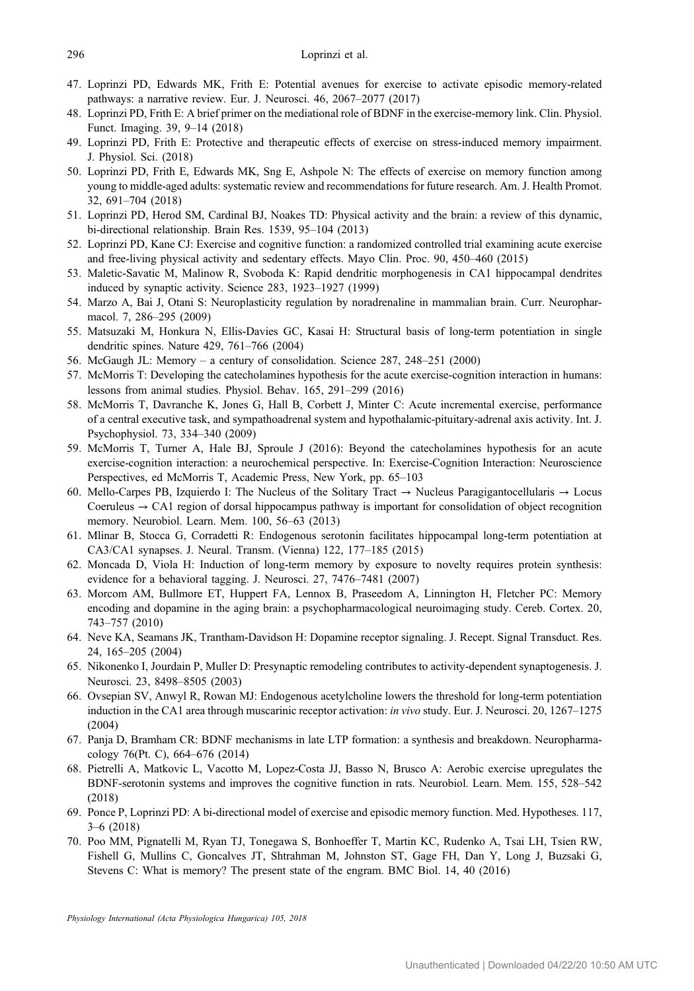- <span id="page-11-0"></span>47. Loprinzi PD, Edwards MK, Frith E: Potential avenues for exercise to activate episodic memory-related pathways: a narrative review. Eur. J. Neurosci. 46, 2067–2077 (2017)
- 48. Loprinzi PD, Frith E: A brief primer on the mediational role of BDNF in the exercise-memory link. Clin. Physiol. Funct. Imaging. 39, 9–14 (2018)
- 49. Loprinzi PD, Frith E: Protective and therapeutic effects of exercise on stress-induced memory impairment. J. Physiol. Sci. (2018)
- 50. Loprinzi PD, Frith E, Edwards MK, Sng E, Ashpole N: The effects of exercise on memory function among young to middle-aged adults: systematic review and recommendations for future research. Am. J. Health Promot. 32, 691–704 (2018)
- 51. Loprinzi PD, Herod SM, Cardinal BJ, Noakes TD: Physical activity and the brain: a review of this dynamic, bi-directional relationship. Brain Res. 1539, 95–104 (2013)
- 52. Loprinzi PD, Kane CJ: Exercise and cognitive function: a randomized controlled trial examining acute exercise and free-living physical activity and sedentary effects. Mayo Clin. Proc. 90, 450–460 (2015)
- 53. Maletic-Savatic M, Malinow R, Svoboda K: Rapid dendritic morphogenesis in CA1 hippocampal dendrites induced by synaptic activity. Science 283, 1923–1927 (1999)
- 54. Marzo A, Bai J, Otani S: Neuroplasticity regulation by noradrenaline in mammalian brain. Curr. Neuropharmacol. 7, 286–295 (2009)
- 55. Matsuzaki M, Honkura N, Ellis-Davies GC, Kasai H: Structural basis of long-term potentiation in single dendritic spines. Nature 429, 761–766 (2004)
- 56. McGaugh JL: Memory a century of consolidation. Science 287, 248–251 (2000)
- 57. McMorris T: Developing the catecholamines hypothesis for the acute exercise-cognition interaction in humans: lessons from animal studies. Physiol. Behav. 165, 291–299 (2016)
- 58. McMorris T, Davranche K, Jones G, Hall B, Corbett J, Minter C: Acute incremental exercise, performance of a central executive task, and sympathoadrenal system and hypothalamic-pituitary-adrenal axis activity. Int. J. Psychophysiol. 73, 334–340 (2009)
- 59. McMorris T, Turner A, Hale BJ, Sproule J (2016): Beyond the catecholamines hypothesis for an acute exercise-cognition interaction: a neurochemical perspective. In: Exercise-Cognition Interaction: Neuroscience Perspectives, ed McMorris T, Academic Press, New York, pp. 65–103
- 60. Mello-Carpes PB, Izquierdo I: The Nucleus of the Solitary Tract  $\rightarrow$  Nucleus Paragigantocellularis  $\rightarrow$  Locus Coeruleus  $\rightarrow$  CA1 region of dorsal hippocampus pathway is important for consolidation of object recognition memory. Neurobiol. Learn. Mem. 100, 56–63 (2013)
- 61. Mlinar B, Stocca G, Corradetti R: Endogenous serotonin facilitates hippocampal long-term potentiation at CA3/CA1 synapses. J. Neural. Transm. (Vienna) 122, 177–185 (2015)
- 62. Moncada D, Viola H: Induction of long-term memory by exposure to novelty requires protein synthesis: evidence for a behavioral tagging. J. Neurosci. 27, 7476–7481 (2007)
- 63. Morcom AM, Bullmore ET, Huppert FA, Lennox B, Praseedom A, Linnington H, Fletcher PC: Memory encoding and dopamine in the aging brain: a psychopharmacological neuroimaging study. Cereb. Cortex. 20, 743–757 (2010)
- 64. Neve KA, Seamans JK, Trantham-Davidson H: Dopamine receptor signaling. J. Recept. Signal Transduct. Res. 24, 165–205 (2004)
- 65. Nikonenko I, Jourdain P, Muller D: Presynaptic remodeling contributes to activity-dependent synaptogenesis. J. Neurosci. 23, 8498–8505 (2003)
- 66. Ovsepian SV, Anwyl R, Rowan MJ: Endogenous acetylcholine lowers the threshold for long-term potentiation induction in the CA1 area through muscarinic receptor activation: in vivo study. Eur. J. Neurosci. 20, 1267–1275 (2004)
- 67. Panja D, Bramham CR: BDNF mechanisms in late LTP formation: a synthesis and breakdown. Neuropharmacology 76(Pt. C), 664–676 (2014)
- 68. Pietrelli A, Matkovic L, Vacotto M, Lopez-Costa JJ, Basso N, Brusco A: Aerobic exercise upregulates the BDNF-serotonin systems and improves the cognitive function in rats. Neurobiol. Learn. Mem. 155, 528–542 (2018)
- 69. Ponce P, Loprinzi PD: A bi-directional model of exercise and episodic memory function. Med. Hypotheses. 117, 3–6 (2018)
- 70. Poo MM, Pignatelli M, Ryan TJ, Tonegawa S, Bonhoeffer T, Martin KC, Rudenko A, Tsai LH, Tsien RW, Fishell G, Mullins C, Goncalves JT, Shtrahman M, Johnston ST, Gage FH, Dan Y, Long J, Buzsaki G, Stevens C: What is memory? The present state of the engram. BMC Biol. 14, 40 (2016)